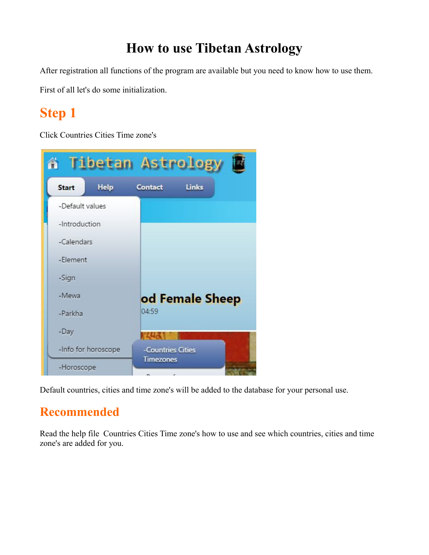### **How to use Tibetan Astrology**

After registration all functions of the program are available but you need to know how to use them.

First of all let's do some initialization.

# **Step 1**

Click Countries Cities Time zone's



Default countries, cities and time zone's will be added to the database for your personal use.

#### **Recommended**

Read the help file Countries Cities Time zone's how to use and see which countries, cities and time zone's are added for you.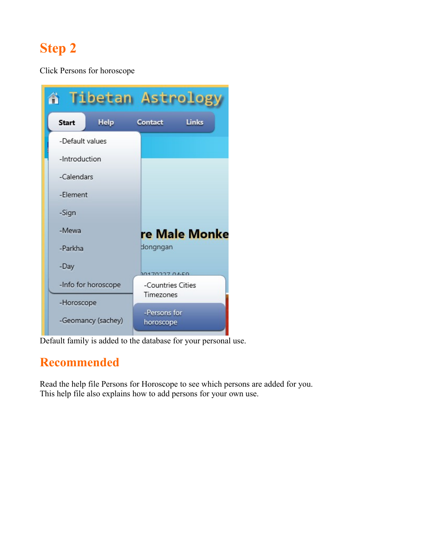Click Persons for horoscope

|                     |             | <b>A Tibetan Astrolog</b> |  |
|---------------------|-------------|---------------------------|--|
| <b>Start</b>        | <b>Help</b> | Links<br>Contact          |  |
| -Default values     |             |                           |  |
| -Introduction       |             |                           |  |
| -Calendars          |             |                           |  |
| -Flement            |             |                           |  |
| -Sign               |             |                           |  |
| -Mewa               |             | re Male Monke             |  |
| -Parkha             |             | dongngan                  |  |
| -Day                |             | 00170227.04.50            |  |
| -Info for horoscope |             | -Countries Cities         |  |
| -Horoscope          |             | Timezones                 |  |
| -Geomancy (sachey)  |             | -Persons for<br>horoscope |  |

Default family is added to the database for your personal use.

#### **Recommended**

Read the help file Persons for Horoscope to see which persons are added for you. This help file also explains how to add persons for your own use.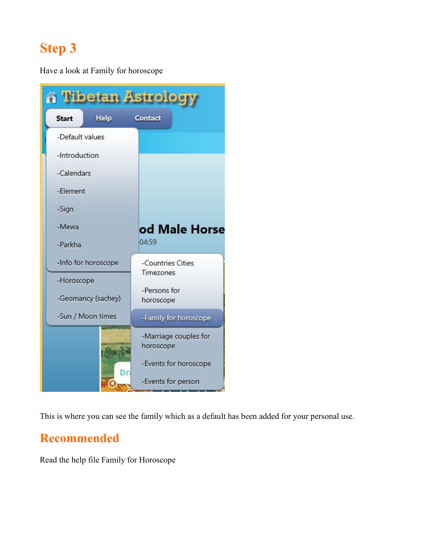Have a look at Family for horoscope

| <b>A Tibetan Astrology</b> |                                |  |  |
|----------------------------|--------------------------------|--|--|
| Help<br><b>Start</b>       | Contact                        |  |  |
| -Default values            |                                |  |  |
| -Introduction              |                                |  |  |
| -Calendars                 |                                |  |  |
| -Element                   |                                |  |  |
| -Sign                      |                                |  |  |
| -Mewa                      | od Male Horse                  |  |  |
| -Parkha                    | 04:59                          |  |  |
| -Info for horoscope        | -Countries Cities<br>Timezones |  |  |
| -Horoscope                 |                                |  |  |
| -Geomancy (sachey)         | -Persons for<br>horoscope      |  |  |
| -Sun / Moon times          | -Family for horoscope          |  |  |
|                            | -Marriage couples for          |  |  |
|                            | horoscope                      |  |  |
|                            | -Events for horoscope          |  |  |
|                            | -Events for person             |  |  |

This is where you can see the family which as a default has been added for your personal use.

### **Recommended**

Read the help file Family for Horoscope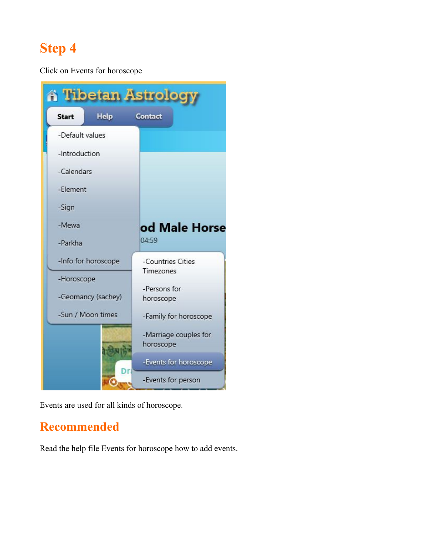Click on Events for horoscope



Events are used for all kinds of horoscope.

### **Recommended**

Read the help file Events for horoscope how to add events.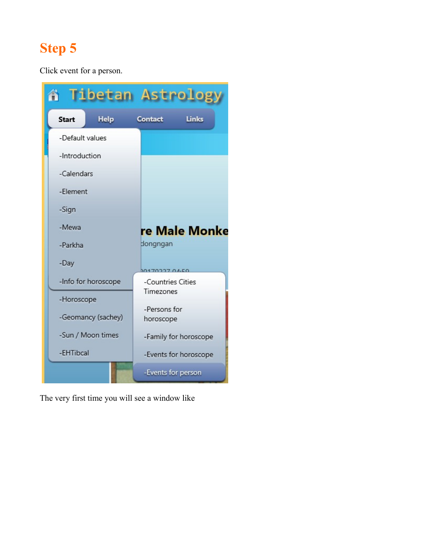Click event for a person.



The very first time you will see a window like